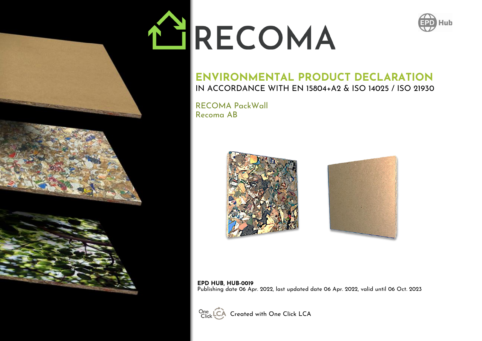# NHRECOMA



### **ENVIRONMENTAL PRODUCT DECLARATION** IN ACCORDANCE WITH EN 15804+A2 & ISO 14025 / ISO 21930

RECOMA PackWall Recoma AB





#### **EPD HUB, HUB-0019** Publishing date 06 Apr. 2022, last updated date 06 Apr. 2022, valid until 06 Oct. 2023



One LCA Created with One Click LCA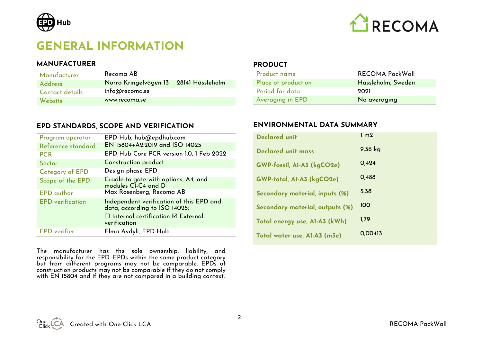

## **GENERAL INFORMATION**

#### **MANUFACTURER**

| Manufacturer    | Recoma AB                              |  |
|-----------------|----------------------------------------|--|
| <b>Address</b>  | Norra Kringelvägen 13 28141 Hässleholm |  |
| Contact details | info@recoma.se                         |  |
| Website         | www.recoma.se                          |  |

#### **EPD STANDARDS, SCOPE AND VERIFICATION**

| Program operator        | EPD Hub, hub@epdhub.com                                                                                                                         |
|-------------------------|-------------------------------------------------------------------------------------------------------------------------------------------------|
| Reference standard      | EN 15804+A2:2019 and ISO 14025                                                                                                                  |
| <b>PCR</b>              | EPD Hub Core PCR version 1.0, 1 Feb 2022                                                                                                        |
| Sector                  | Construction product                                                                                                                            |
| <b>Category of EPD</b>  | Design phase EPD                                                                                                                                |
| Scope of the EPD        | Cradle to gate with options, A4, and<br>modules CI-C4 and D                                                                                     |
| <b>EPD</b> author       | Max Rosenberg, Recoma AB                                                                                                                        |
| <b>EPD</b> verification | Independent verification of this EPD and<br>data, according to ISO 14025:<br>$\Box$ Internal certification $\boxtimes$ External<br>verification |
| <b>EPD</b> verifier     | Elma Avdyli, EPD Hub                                                                                                                            |

The manufacturer has the sole ownership, liability, and responsibility for the EPD. EPDs within the same product category but from different programs may not be comparable. EPDs of construction products may not be comparable if they do not comply with EN 15804 and if they are not compared in a building context.

**PRODUCT** 

| Product name        | <b>RECOMA PackWall</b> |
|---------------------|------------------------|
| Place of production | Hässleholm, Sweden     |
| Period for data     | 2021                   |
| Averaging in EPD    | No averaging           |

#### **ENVIRONMENTAL DATA SUMMARY**

| <b>Declared unit</b>            | 1 <sub>m2</sub> |
|---------------------------------|-----------------|
| <b>Declared unit mass</b>       | $9,36$ kg       |
| GWP-fossil, AI-A3 (kgCO2e)      | 0.424           |
| GWP-total, A1-A3 (kgCO2e)       | 0,488           |
| Secondary material, inputs (%)  | 5,38            |
| Secondary material, outputs (%) | 100             |
| Total energy use, A1-A3 (kWh)   | 1,79            |
| Total water use, A1-A3 (m3e)    | 0.00413         |



2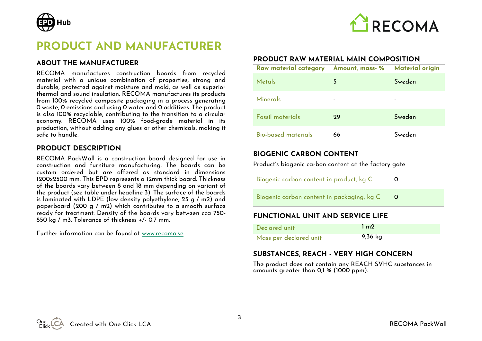



## **PRODUCT AND MANUFACTURER**

#### **ABOUT THE MANUFACTURER**

RECOMA manufactures construction boards from recycled material with a unique combination of properties; strong and durable, protected against moisture and mold, as well as superior thermal and sound insulation. RECOMA manufactures its products from 100% recycled composite packaging in a process generating 0 waste, 0 emissions and using 0 water and 0 additives. The product is also 100% recyclable, contributing to the transition to a circular economy. RECOMA uses 100% food-grade material in its production, without adding any glues or other chemicals, making it safe to handle.

#### **PRODUCT DESCRIPTION**

RECOMA PackWall is a construction board designed for use in construction and furniture manufacturing. The boards can be custom ordered but are offered as standard in dimensions 1200x2500 mm. This EPD represents a 12mm thick board. Thickness of the boards vary between 8 and 18 mm depending on variant of the product (see table under headline 3). The surface of the boards is laminated with LDPE (low density polyethylene, 25 g / m2) and paperboard (200 g / m2) which contributes to a smooth surface ready for treatment. Density of the boards vary between cca 750- 850 kg / m3. Tolerance of thickness +/- 0.7 mm.

Further information can be found at [www.recoma.se.](http://www.recoma.se/)

#### **PRODUCT RAW MATERIAL MAIN COMPOSITION**

| Raw material category Amount, mass- % |    | <b>Material origin</b> |
|---------------------------------------|----|------------------------|
| Metals                                | 5  | Sweden                 |
| Minerals                              | ۰  |                        |
| Fossil materials                      | 29 | Sweden                 |
| Bio-based materials                   | 66 | Sweden                 |

#### **BIOGENIC CARBON CONTENT**

Product's biogenic carbon content at the factory gate

| <b>FUNCTIONAL UNIT AND SERVICE LIFE</b>    |  |  |
|--------------------------------------------|--|--|
| Biogenic carbon content in packaging, kg C |  |  |
| Biogenic carbon content in product, kg C   |  |  |

| Declared unit          | $1 \text{ m}$ |
|------------------------|---------------|
| Mass per declared unit | 9,36 kg       |

#### **SUBSTANCES, REACH - VERY HIGH CONCERN**

The product does not contain any REACH SVHC substances in amounts greater than 0,1 % (1000 ppm).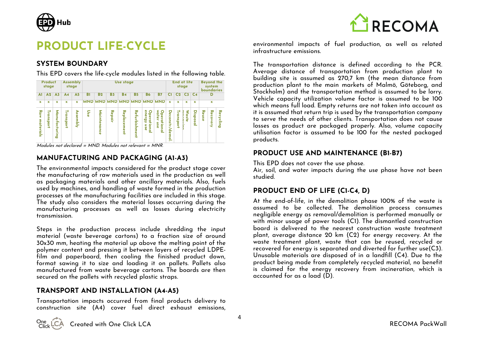

## **PRODUCT LIFE-CYCLE**

#### **SYSTEM BOUNDARY**

This EPD covers the life-cycle modules listed in the following table.

|                  | Product<br>stage              |                |                | Assembly<br>stage |     |                 |                | Use stage           |                |                                      |                                                           |                                   | <b>End of life</b> | stage     |                | <b>Beyond the</b><br>system<br>boundaries |             |                        |  |  |  |
|------------------|-------------------------------|----------------|----------------|-------------------|-----|-----------------|----------------|---------------------|----------------|--------------------------------------|-----------------------------------------------------------|-----------------------------------|--------------------|-----------|----------------|-------------------------------------------|-------------|------------------------|--|--|--|
| A1               | A <sub>2</sub>                | A <sub>3</sub> | A <sub>4</sub> | A <sub>5</sub>    | в   | C1              | C <sub>2</sub> | C3                  | C <sub>4</sub> |                                      | D                                                         |                                   |                    |           |                |                                           |             |                        |  |  |  |
| $\mathbf x$      | x                             | $\mathbf x$    | x              | x                 |     |                 |                |                     |                |                                      | MND MND MND MND MND MND MND<br>x<br>$\mathbf x$<br>x<br>x |                                   |                    |           |                |                                           | $\mathbf x$ |                        |  |  |  |
| Raw<br>materials | ₹<br>g<br><b>S</b><br>हु<br>ı | Manufacturing  | ₹<br>ansport   | Assembly          | Use | Μā.<br>ᇽ<br>nce | Repair         | Replace<br>me<br>Ė. | Refurbishment  | energy<br>O<br>perat<br>iiona<br>osn | water<br>O<br><b>pera</b><br>tional<br>use                | o<br>econstr<br><.<br>န<br>Ë<br>- | Transport          | ⋞<br>aste | Ξ<br>sods<br>₾ | Reuse                                     | Recovery    | Recy<br>≏<br>- -<br>శె |  |  |  |

Modules not declared =  $MND$ . Modules not relevant =  $MNR$ .

#### **MANUFACTURING AND PACKAGING (A1-A3)**

The environmental impacts considered for the product stage cover the manufacturing of raw materials used in the production as well as packaging materials and other ancillary materials. Also, fuels used by machines, and handling of waste formed in the production processes at the manufacturing facilities are included in this stage. The study also considers the material losses occurring during the manufacturing processes as well as losses during electricity transmission.

Steps in the production process include shredding the input material (waste beverage cartons) to a fraction size of around 30x30 mm, heating the material up above the melting point of the polymer content and pressing it between layers of recycled LDPEfilm and paperboard, then cooling the finished product down, format sawing it to size and loading it on pallets. Pallets also manufactured from waste beverage cartons. The boards are then secured on the pallets with recycled plastic straps.

#### **TRANSPORT AND INSTALLATION (A4-A5)**

Transportation impacts occurred from final products delivery to construction site (A4) cover fuel direct exhaust emissions,



environmental impacts of fuel production, as well as related infrastructure emissions.

The transportation distance is defined according to the PCR. Average distance of transportation from production plant to building site is assumed as 270,7 km (the mean distance from production plant to the main markets of Malmö, Göteborg, and Stockholm) and the transportation method is assumed to be lorry. Vehicle capacity utilization volume factor is assumed to be 100 which means full load. Empty returns are not taken into account as it is assumed that return trip is used by the transportation company to serve the needs of other clients. Transportation does not cause losses as product are packaged properly. Also, volume capacity utilisation factor is assumed to be 100 for the nested packaged products.

#### **PRODUCT USE AND MAINTENANCE (B1-B7)**

This EPD does not cover the use phase.

Air, soil, and water impacts during the use phase have not been studied.

#### **PRODUCT END OF LIFE (C1-C4, D)**

At the end-of-life, in the demolition phase 100% of the waste is assumed to be collected. The demolition process consumes negligible energy as removal/demolition is performed manually or with minor usage of power tools (C1). The dismantled construction board is delivered to the nearest construction waste treatment plant, average distance 20 km (C2) for energy recovery. At the waste treatment plant, waste that can be reused, recycled or recovered for energy is separated and diverted for further use(C3). Unusable materials are disposed of in a landfill (C4). Due to the product being made from completely recycled material, no benefit is claimed for the energy recovery from incineration, which is accounted for as a load (D).

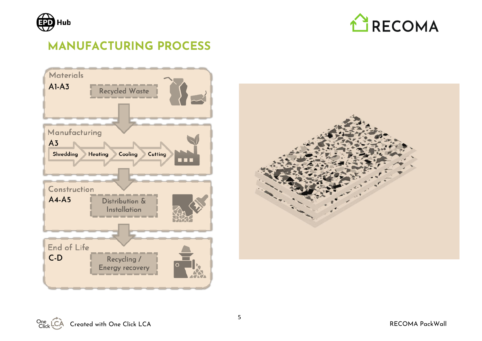



# **MANUFACTURING PROCESS**



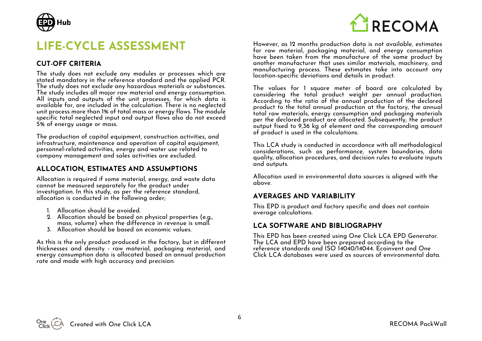

## **LIFE-CYCLE ASSESSMENT**

#### **CUT-OFF CRITERIA**

The study does not exclude any modules or processes which are stated mandatory in the reference standard and the applied PCR. The study does not exclude any hazardous materials or substances. The study includes all major raw material and energy consumption. All inputs and outputs of the unit processes, for which data is available for, are included in the calculation. There is no neglected unit process more than 1% of total mass or energy flows. The module specific total neglected input and output flows also do not exceed 5% of energy usage or mass.

The production of capital equipment, construction activities, and infrastructure, maintenance and operation of capital equipment, personnel-related activities, energy and water use related to company management and sales activities are excluded.

#### **ALLOCATION, ESTIMATES AND ASSUMPTIONS**

Allocation is required if some material, energy, and waste data cannot be measured separately for the product under investigation. In this study, as per the reference standard, allocation is conducted in the following order;

- 1. Allocation should be avoided.
- 2. Allocation should be based on physical properties (e.g., mass, volume) when the difference in revenue is small.
- 3. Allocation should be based on economic values.

As this is the only product produced in the factory, but in different thicknesses and density - raw material, packaging material, and energy consumption data is allocated based on annual production rate and made with high accuracy and precision.



However, as 12 months production data is not available, estimates for raw material, packaging material, and energy consumption have been taken from the manufacture of the same product by another manufacturer that uses similar materials, machinery, and manufacturing process. These estimates take into account any location-specific deviations and details in product.

The values for 1 square meter of board are calculated by considering the total product weight per annual production. According to the ratio of the annual production of the declared product to the total annual production at the factory, the annual total raw materials, energy consumption and packaging materials per the declared product are allocated. Subsequently, the product output fixed to 9,36 kg of element and the corresponding amount of product is used in the calculations.

This LCA study is conducted in accordance with all methodological considerations, such as performance, system boundaries, data quality, allocation procedures, and decision rules to evaluate inputs and outputs.

Allocation used in environmental data sources is aligned with the above.

#### **AVERAGES AND VARIABILITY**

This EPD is product and factory specific and does not contain average calculations.

#### **LCA SOFTWARE AND BIBLIOGRAPHY**

This EPD has been created using One Click LCA EPD Generator. The LCA and EPD have been prepared according to the reference standards and ISO 14040/14044. Ecoinvent and One Click LCA databases were used as sources of environmental data.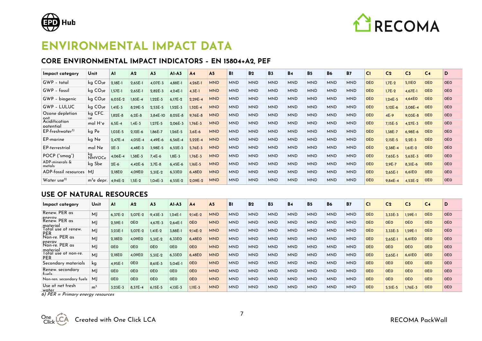



## **ENVIRONMENTAL IMPACT DATA**

#### **CORE ENVIRONMENTAL IMPACT INDICATORS – EN 15804+A2, PEF**

| Impact category                    | Unit                 | ΑI          | A <sub>2</sub> | A <sub>3</sub> | $AI-A3$     | A <sub>4</sub> | A <sub>5</sub> | B <sub>1</sub> | <b>B2</b>  | <b>B3</b>  | <b>B4</b>  | <b>B5</b>  | <b>B6</b>  | <b>B7</b>  | CI         | C <sub>2</sub> | C <sub>3</sub> | C <sub>4</sub> | D          |
|------------------------------------|----------------------|-------------|----------------|----------------|-------------|----------------|----------------|----------------|------------|------------|------------|------------|------------|------------|------------|----------------|----------------|----------------|------------|
| GWP - total                        | kg CO <sub>2</sub> e | 2,18E-1     | $2,65E-1$      | 4,07E-3        | 4,88E-1     | 4,26E-1        | <b>MND</b>     | <b>MND</b>     | <b>MND</b> | <b>MND</b> | <b>MND</b> | <b>MND</b> | <b>MND</b> | <b>MND</b> | <b>OEO</b> | $1,7E-2$       | 5,11E0         | <b>OEO</b>     | <b>OEO</b> |
| GWP - fossil                       | kg CO <sub>2</sub> e | $1,57E-1$   | $2,65E-1$      | $2,82E-3$      | $4,24E-1$   | $4.3E-1$       | <b>MND</b>     | <b>MND</b>     | <b>MND</b> | <b>MND</b> | <b>MND</b> | <b>MND</b> | <b>MND</b> | <b>MND</b> | <b>OEO</b> | $1,7E-2$       | 4,67E-1        | <b>OEO</b>     | <b>OEO</b> |
| GWP - biogenic                     | kg CO <sub>2</sub> e | 6,03E-2     | $1,83E-4$      | 1,22E-3        | 6,17E-2     | $2,29E-4$      | <b>MND</b>     | <b>MND</b>     | <b>MND</b> | <b>MND</b> | <b>MND</b> | <b>MND</b> | <b>MND</b> | <b>MND</b> | <b>OEO</b> | $1,24E-5$      | 4,64EO         | <b>OEO</b>     | <b>OEO</b> |
| <b>GWP - LULUC</b>                 | kg CO <sub>2</sub> e | $1.41E - 3$ | 8.29E-5        | $2.53E - 5$    | $1.52E - 3$ | $1.52E - 4$    | <b>MND</b>     | <b>MND</b>     | <b>MND</b> | <b>MND</b> | <b>MND</b> | <b>MND</b> | <b>MND</b> | <b>MND</b> | <b>OEO</b> | $5,12E-6$      | 3,08E-4        | <b>OEO</b>     | <b>OEO</b> |
| Ozone depletion                    | kg CFC.              | $1.82E - 8$ | $6,2E-8$       | 3,84E-10       | 8,05E-8     | $9.76E - 8$    | <b>MND</b>     | <b>MND</b>     | <b>MND</b> | <b>MND</b> | <b>MND</b> | <b>MND</b> | <b>MND</b> | <b>MND</b> | <b>OEO</b> | $4E-9$         | $9,03E-8$      | <b>OEO</b>     | <b>OEO</b> |
| pot.<br>Acidification<br>potential | mol H <sup>+</sup> e | $6,5E-4$    | $1,4E-3$       | $1,27E-5$      | 2,06E-3     | $1,76E-3$      | <b>MND</b>     | <b>MND</b>     | <b>MND</b> | <b>MND</b> | <b>MND</b> | <b>MND</b> | <b>MND</b> | <b>MND</b> | <b>OEO</b> | 7,15E-5        | $4,27E-3$      | <b>OEO</b>     | <b>OEO</b> |
| $EP-freeshwater3$                  | kg Pe                | $1.03E - 5$ | $2.12E - 6$    | 1.86E-7        | $1,26E-5$   | $3.6E - 6$     | <b>MND</b>     | <b>MND</b>     | <b>MND</b> | <b>MND</b> | <b>MND</b> | <b>MND</b> | <b>MND</b> | <b>MND</b> | <b>OEO</b> | 1,38E-7        | 6,98E-6        | <b>OEO</b>     | <b>OEO</b> |
| <b>EP-marine</b>                   | kg Ne                | $2.47E - 4$ | 4,05E-4        | 4,49E-6        | $6,56E-4$   | $5,22E-4$      | <b>MND</b>     | <b>MND</b>     | <b>MND</b> | <b>MND</b> | <b>MND</b> | <b>MND</b> | <b>MND</b> | <b>MND</b> | <b>OEO</b> | $2,15E-5$      | $2,2E-3$       | <b>OEO</b>     | <b>OEO</b> |
| <b>EP-terrestrial</b>              | mol Ne               | $2E-3$      | 4,48E-3        | 3,98E-5        | $6,52E-3$   | 5,76E-3        | <b>MND</b>     | <b>MND</b>     | <b>MND</b> | <b>MND</b> | <b>MND</b> | <b>MND</b> | <b>MND</b> | <b>MND</b> | <b>OEO</b> | $2,38E-4$      | $1,61E-2$      | <b>OEO</b>     | <b>OEO</b> |
| POCP ("smog")                      | kg<br>NMVOCe         | 4,06E-4     | $1.38E - 3$    | $7,4E-6$       | $1.8E - 3$  | $1,76E-3$      | <b>MND</b>     | <b>MND</b>     | <b>MND</b> | <b>MND</b> | <b>MND</b> | <b>MND</b> | <b>MND</b> | <b>MND</b> | <b>OEO</b> | $7,65E-5$      | $5,63E-3$      | <b>OEO</b>     | <b>OEO</b> |
| ADP-minerals &<br>metals           | kg Sbe               | $2E-6$      | $4,42E-6$      | $3,7E-8$       | $6,45E-6$   | 1,16E-5        | <b>MND</b>     | <b>MND</b>     | <b>MND</b> | <b>MND</b> | <b>MND</b> | <b>MND</b> | <b>MND</b> | <b>MND</b> | <b>OEO</b> | $2,9E-7$       | 8,31E-6        | <b>OEO</b>     | <b>OEO</b> |
| ADP-fossil resources               | M <sub>l</sub>       | 2,18EO      | 4,09E0         | $5,31E-2$      | 6,33EO      | 6,48E0         | <b>MND</b>     | <b>MND</b>     | <b>MND</b> | <b>MND</b> | <b>MND</b> | <b>MND</b> | <b>MND</b> | <b>MND</b> | <b>OEO</b> | $2,65E-1$      | 6,61E0         | <b>OEO</b>     | <b>OEO</b> |
| Water use <sup>2)</sup>            | $m^3$ e depr.        | 4.94E-2     | $1,5E-2$       | $1,04E-3$      | 6,55E-2     | 2.09E-2        | <b>MND</b>     | <b>MND</b>     | <b>MND</b> | <b>MND</b> | <b>MND</b> | <b>MND</b> | <b>MND</b> | <b>MND</b> | <b>OEO</b> | $9,84E-4$      | $4,53E-2$      | <b>OEO</b>     | <b>OEO</b> |

#### **USE OF NATURAL RESOURCES**

| Impact category                           | Unit           | Al         | A <sub>2</sub> | A <sub>3</sub> | $AI-AS$    | A <sub>4</sub> | A <sub>5</sub> | B <sub>1</sub> | <b>B2</b>  | <b>B3</b>  | <b>B4</b>  | <b>B5</b>  | <b>B6</b>  | <b>B7</b>  | C1         | C <sub>2</sub> | C <sub>3</sub> | C <sub>4</sub> | D          |
|-------------------------------------------|----------------|------------|----------------|----------------|------------|----------------|----------------|----------------|------------|------------|------------|------------|------------|------------|------------|----------------|----------------|----------------|------------|
| $PER$ as<br>Renew<br>enerav               | MJ             | $6.37E-2$  | 5.07E-2        | $9,43E-3$      | $1,24E-1$  | $9.14E - 2$    | <b>MND</b>     | <b>MND</b>     | <b>MND</b> | <b>MND</b> | <b>MND</b> | <b>MND</b> | <b>MND</b> | <b>MND</b> | <b>OEO</b> | 3.33E-3        | 1.59E-1        | <b>OEO</b>     | OEO        |
| PER as<br>Renew.<br>material              | MJ             | 2,59E-1    | <b>OEO</b>     | 4,67E-3        | $2,64E-1$  | <b>OEO</b>     | <b>MND</b>     | <b>MND</b>     | <b>MND</b> | <b>MND</b> | <b>MND</b> | <b>MND</b> | <b>MND</b> | <b>MND</b> | <b>OEO</b> | <b>OEO</b>     | <b>OEO</b>     | <b>OEO</b>     | <b>OEO</b> |
| Total<br>use ot renew.<br>PER             | MJ             | $3.23E-1$  | 5,07E-2        | 1,41E-2        | 3.88E-1    | $9.14E - 2$    | <b>MND</b>     | <b>MND</b>     | <b>MND</b> | <b>MND</b> | <b>MND</b> | <b>MND</b> | <b>MND</b> | <b>MND</b> | <b>OEO</b> | 3,33E-3        | 1,59E-1        | <b>OEO</b>     | <b>OEO</b> |
| PER as<br>Non-re.                         | MJ             | 2.18EO     | 4,09E0         | $5,31E-2$      | 6,33EO     | 6.48EO         | <b>MND</b>     | <b>MND</b>     | <b>MND</b> | <b>MND</b> | <b>MND</b> | <b>MND</b> | <b>MND</b> | <b>MND</b> | <b>OEO</b> | $2.65E-1$      | 6,61EO         | <b>OEO</b>     | <b>OEO</b> |
| enerav<br>Non-re.<br>$PER$ as<br>material | MJ             | <b>OEO</b> | <b>OEO</b>     | <b>OEO</b>     | <b>OEO</b> | <b>OEO</b>     | <b>MND</b>     | <b>MND</b>     | <b>MND</b> | <b>MND</b> | <b>MND</b> | <b>MND</b> | <b>MND</b> | <b>MND</b> | <b>OEO</b> | <b>OEO</b>     | <b>OEO</b>     | <b>OEO</b>     | <b>OEO</b> |
| Total use ot non-re.<br><b>PFR</b>        | MJ             | 2,18EO     | 4,09E0         | 5,31E-2        | 6,33EO     | 6,48E0         | <b>MND</b>     | <b>MND</b>     | <b>MND</b> | <b>MND</b> | <b>MND</b> | <b>MND</b> | <b>MND</b> | <b>MND</b> | <b>OEO</b> | $2,65E-1$      | 6,61EO         | <b>OEO</b>     | <b>OEO</b> |
| Secondary materials                       | kg             | 4,95E-1    | <b>OEO</b>     | 8,61E-3        | 5,04E-1    | <b>OEO</b>     | <b>MND</b>     | <b>MND</b>     | <b>MND</b> | <b>MND</b> | <b>MND</b> | <b>MND</b> | <b>MND</b> | <b>MND</b> | <b>OEO</b> | <b>OEO</b>     | <b>OEO</b>     | <b>OEO</b>     | <b>OEO</b> |
| Renew.<br>. secondary<br>ءاميته           | M              | <b>OEO</b> | <b>OEO</b>     | <b>OEO</b>     | <b>OEO</b> | <b>OEO</b>     | <b>MND</b>     | <b>MND</b>     | <b>MND</b> | <b>MND</b> | <b>MND</b> | <b>MND</b> | <b>MND</b> | <b>MND</b> | <b>OEO</b> | <b>OEO</b>     | <b>OEO</b>     | <b>OEO</b>     | <b>OEO</b> |
| Non-ren. secondary fuels                  | M              | <b>OEO</b> | <b>OEO</b>     | <b>OEO</b>     | <b>OEO</b> | <b>OEO</b>     | <b>MND</b>     | <b>MND</b>     | <b>MND</b> | <b>MND</b> | <b>MND</b> | <b>MND</b> | <b>MND</b> | <b>MND</b> | <b>OEO</b> | <b>OEO</b>     | <b>OEO</b>     | <b>OEO</b>     | <b>OEO</b> |
| Use ot net tresh<br>water                 | m <sup>3</sup> | 3,23E-3    | 8,37E-4        | $6,15E-5$      | 4,13E-3    | $1,11E-3$      | <b>MND</b>     | <b>MND</b>     | <b>MND</b> | <b>MND</b> | <b>MND</b> | <b>MND</b> | <b>MND</b> | <b>MND</b> | <b>OEO</b> | $5,51E-5$      | 1,76E-3        | <b>OEO</b>     | <b>OEO</b> |

water 6) PER = Primary energy resources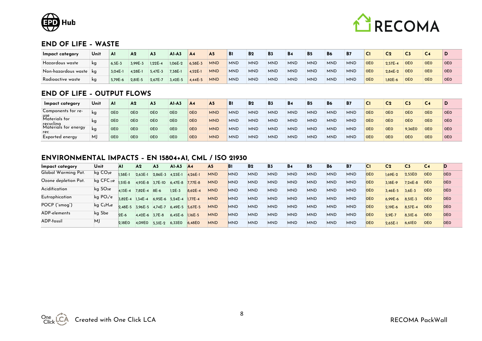



#### **END OF LIFE – WASTE**

| Impact category            | Unit | Al         | A <sub>2</sub> | A3        | $AI-A3$   | AA          | A5         | B1         | B <sub>2</sub> | B3         | <b>B4</b>  | <b>B5</b>  | <b>B6</b>  | <b>B7</b>  | <b>C1</b>  | C <sub>2</sub> |            |            |            |
|----------------------------|------|------------|----------------|-----------|-----------|-------------|------------|------------|----------------|------------|------------|------------|------------|------------|------------|----------------|------------|------------|------------|
| Hazardous waste            | kg   | $6.5E - 3$ | 3,99E-3        | $1,22E-4$ | 1,06E-2   | 6,58E-3     | <b>MND</b> | <b>MND</b> | <b>MND</b>     | <b>MND</b> | <b>MND</b> | <b>MND</b> | <b>MND</b> | <b>MND</b> | <b>OEO</b> | $2.57E - 4$    | <b>OEO</b> | <b>OEO</b> | <b>OEO</b> |
| : Non-hazardous waste   kg |      | $3.04E-1$  | $4,28E-1$      | $5,47E-3$ | $7,38E-1$ | 4,52E-1     | <b>MND</b> | <b>MND</b> | <b>MND</b>     | <b>MND</b> | <b>MND</b> | <b>MND</b> | <b>MND</b> | <b>MND</b> | <b>OEO</b> | $2.84E - 2$    | <b>OEO</b> | <b>OEO</b> | <b>OEO</b> |
| Radioactive waste          | kg   | 5.79E-6    | $2,81E-5$      | 2,67E-7   | $3,42E-5$ | $4.44E - 5$ | <b>MND</b> | <b>MND</b> | <b>MND</b>     | <b>MND</b> | <b>MND</b> | <b>MND</b> | <b>MND</b> | <b>MND</b> | <b>OEO</b> | $1.82E - 6$    | <b>OEO</b> | <b>OEO</b> | <b>OEO</b> |

#### **END OF LIFE – OUTPUT FLOWS**

| Impact category             | Unit | A1         | A <sub>2</sub> | A3         | $AI-A3$    | A <sub>4</sub> | A <sub>5</sub> | <b>B</b> <sub>1</sub> | <b>B2</b>  | <b>B3</b>  | <b>B4</b>  | B <sub>5</sub> | <b>B6</b>  | <b>B7</b>  | Сı         | C <sub>2</sub> | C3         | C4         |            |
|-----------------------------|------|------------|----------------|------------|------------|----------------|----------------|-----------------------|------------|------------|------------|----------------|------------|------------|------------|----------------|------------|------------|------------|
| Components for re-<br>use   | ka   | <b>OEO</b> | <b>OEO</b>     | <b>OEO</b> | <b>OEO</b> | <b>OEO</b>     | <b>MND</b>     | <b>MND</b>            | <b>MND</b> | <b>MND</b> | <b>MND</b> | <b>MND</b>     | <b>MND</b> | <b>MND</b> | <b>OEO</b> | <b>OEO</b>     | <b>OEO</b> | <b>OEO</b> | OEO        |
| Materials for<br>recyclina  | ka   | <b>OEO</b> | <b>OEO</b>     | <b>OEO</b> | <b>OEO</b> | <b>OEO</b>     | <b>MND</b>     | <b>MND</b>            | <b>MND</b> | <b>MND</b> | <b>MND</b> | <b>MND</b>     | <b>MND</b> | <b>MND</b> | <b>OEO</b> | <b>OEO</b>     | <b>OEO</b> | <b>OEO</b> | <b>OEO</b> |
| Materials for energy<br>rec | ka   | <b>OEO</b> | <b>OEO</b>     | <b>OEO</b> | <b>OEO</b> | <b>OEO</b>     | <b>MND</b>     | <b>MND</b>            | <b>MND</b> | <b>MND</b> | <b>MND</b> | <b>MND</b>     | <b>MND</b> | <b>MND</b> | <b>OEO</b> | <b>OEO</b>     | 9,36EO     | <b>OEO</b> | OEO        |
| Exported energy             | MJ   | <b>OEO</b> | <b>OEO</b>     | <b>OEO</b> | <b>OEO</b> | <b>OEO</b>     | <b>MND</b>     | <b>MND</b>            | <b>MND</b> | <b>MND</b> | <b>MND</b> | <b>MND</b>     | <b>MND</b> | <b>MND</b> | <b>OEO</b> | <b>OEO</b>     | <b>OEO</b> | <b>OEO</b> | <b>OEO</b> |

#### **ENVIRONMENTAL IMPACTS – EN 15804+A1, CML / ISO 21930**

| Impact category      | Unit                  | A۱          | A <sub>2</sub>  | A <sub>3</sub>  | $AI-A3$     | AA          | A <sub>5</sub> | Bı         | <b>B2</b>  | <b>B3</b>  | <b>B4</b>  | <b>B</b> <sub>5</sub> | <b>B6</b>  | <b>B7</b>  | IСТ        | C <sub>2</sub> | C3          | C <sub>4</sub> |            |
|----------------------|-----------------------|-------------|-----------------|-----------------|-------------|-------------|----------------|------------|------------|------------|------------|-----------------------|------------|------------|------------|----------------|-------------|----------------|------------|
| Global Warming Pot.  | kg CO <sub>2</sub> e  | 1.58E-1     | $2,63E-1$       | $2,86E-3$       | $4,23E-1$   | $4.26E - 1$ | <b>MND</b>     | <b>MND</b> | <b>MND</b> | <b>MND</b> | <b>MND</b> | <b>MND</b>            | <b>MND</b> | <b>MND</b> | <b>OEO</b> | 1.69E-2        | 2,53EO      | <b>OEO</b>     | <b>OEO</b> |
| Ozone depletion Pot. | $kg$ CFC-ne $1.51E-8$ |             | 4,93E-8         | $3,7E-10$       | $6.47E - 8$ | $7.77E-8$   | <b>MND</b>     | <b>MND</b> | <b>MND</b> | <b>MND</b> | <b>MND</b> | <b>MND</b>            | <b>MND</b> | <b>MND</b> | <b>OEO</b> | 3.18E-9        | $7,24E-8$   | <b>OEO</b>     | <b>OEO</b> |
| Acidification        | kg SO <sub>2</sub> e  | $4.13E - 4$ | 7,82E-4         | 8E-6            | $1,2E-3$    | $8.62E - 4$ | <b>MND</b>     | <b>MND</b> | <b>MND</b> | <b>MND</b> | <b>MND</b> | <b>MND</b>            | <b>MND</b> | <b>MND</b> | <b>OEO</b> | 3,46E-5        | $3.6E - 3$  | <b>OEO</b>     | <b>OEO</b> |
| Eutrophication       | kg $PO_4{}^3e$        | $3.82E - 4$ | $1,34E-4$       | 6,95E-6 5,24E-4 |             | $1.77E - 4$ | <b>MND</b>     | <b>MND</b> | <b>MND</b> | <b>MND</b> | <b>MND</b> | <b>MND</b>            | <b>MND</b> | <b>MND</b> | <b>OEO</b> | 6.99E-6        | $8.51E - 3$ | <b>OEO</b>     | <b>OEO</b> |
| POCP ("smog")        | kg C2H4e              | $2.48E - 5$ | 3,96E-5 4,74E-7 |                 | 6.49E-5     | $5.67E - 5$ | <b>MND</b>     | <b>MND</b> | <b>MND</b> | <b>MND</b> | <b>MND</b> | <b>MND</b>            | <b>MND</b> | <b>MND</b> | <b>OEO</b> | $2,19E-6$      | 8,57E-4     | <b>OEO</b>     | <b>OEO</b> |
| ADP-elements         | ka Sbe                | $2E-6$      | 4,42E-6 3,7E-8  |                 | $6.45E - 6$ | $1.16E - 5$ | <b>MND</b>     | <b>MND</b> | <b>MND</b> | <b>MND</b> | <b>MND</b> | <b>MND</b>            | <b>MND</b> | <b>MND</b> | <b>OEO</b> | $2,9E-7$       | $8.31E - 6$ | <b>OEO</b>     | <b>OEO</b> |
| ADP-fossil           | MJ                    | 2.18EO      | 4,09E0          | $5.31E - 2$     | 6,33EO      | 6,48EO      | <b>MND</b>     | <b>MND</b> | <b>MND</b> | <b>MND</b> | <b>MND</b> | <b>MND</b>            | <b>MND</b> | <b>MND</b> | <b>OEO</b> | $2,65E-1$      | 6,61EO      | <b>OEO</b>     | <b>OEO</b> |